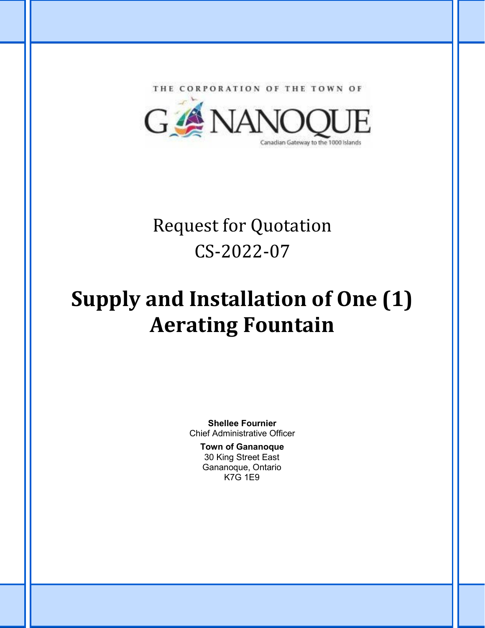THE CORPORATION OF THE TOWN OF



## Request for Quotation CS-2022-07

# **Supply and Installation of One (1) Aerating Fountain**

**Shellee Fournier** Chief Administrative Officer

#### **Town of Gananoque** 30 King Street East Gananoque, Ontario K7G 1E9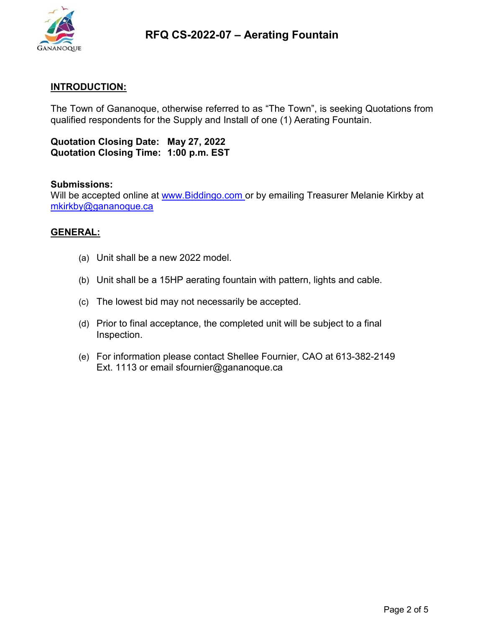

#### **INTRODUCTION:**

The Town of Gananoque, otherwise referred to as "The Town", is seeking Quotations from qualified respondents for the Supply and Install of one (1) Aerating Fountain.

**Quotation Closing Date: May 27, 2022 Quotation Closing Time: 1:00 p.m. EST**

#### **Submissions:**

Will be accepted online at www. Biddingo.com or by emailing Treasurer Melanie Kirkby at [mkirkby@gananoque.ca](mailto:mkirkby@gananoque.ca)

#### **GENERAL:**

- (a) Unit shall be a new 2022 model.
- (b) Unit shall be a 15HP aerating fountain with pattern, lights and cable.
- (c) The lowest bid may not necessarily be accepted.
- (d) Prior to final acceptance, the completed unit will be subject to a final Inspection.
- (e) For information please contact Shellee Fournier, CAO at 613-382-2149 Ext. 1113 or email sfournier@gananoque.ca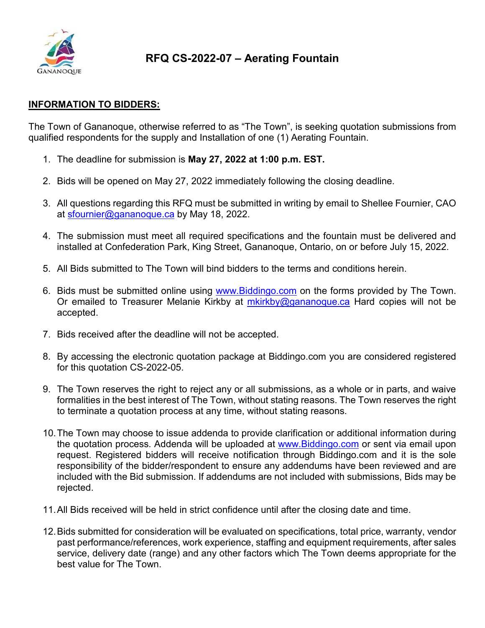

#### **INFORMATION TO BIDDERS:**

The Town of Gananoque, otherwise referred to as "The Town", is seeking quotation submissions from qualified respondents for the supply and Installation of one (1) Aerating Fountain.

- 1. The deadline for submission is **May 27, 2022 at 1:00 p.m. EST.**
- 2. Bids will be opened on May 27, 2022 immediately following the closing deadline.
- 3. All questions regarding this RFQ must be submitted in writing by email to Shellee Fournier, CAO at [sfournier@gananoque.ca](mailto:sfournier@gananoque.ca) by May 18, 2022.
- 4. The submission must meet all required specifications and the fountain must be delivered and installed at Confederation Park, King Street, Gananoque, Ontario, on or before July 15, 2022.
- 5. All Bids submitted to The Town will bind bidders to the terms and conditions herein.
- 6. Bids must be submitted online using [www.Biddingo.com](http://www.biddingo.com/) on the forms provided by The Town. Or emailed to Treasurer Melanie Kirkby at [mkirkby@gananoque.ca](mailto:mkirkby@gananoque.ca) Hard copies will not be accepted.
- 7. Bids received after the deadline will not be accepted.
- 8. By accessing the electronic quotation package at Biddingo.com you are considered registered for this quotation CS-2022-05.
- 9. The Town reserves the right to reject any or all submissions, as a whole or in parts, and waive formalities in the best interest of The Town, without stating reasons. The Town reserves the right to terminate a quotation process at any time, without stating reasons.
- 10.The Town may choose to issue addenda to provide clarification or additional information during the quotation process. Addenda will be uploaded at [www.Biddingo.com](http://www.biddingo.com/) or sent via email upon request. Registered bidders will receive notification through Biddingo.com and it is the sole responsibility of the bidder/respondent to ensure any addendums have been reviewed and are included with the Bid submission. If addendums are not included with submissions, Bids may be rejected.
- 11.All Bids received will be held in strict confidence until after the closing date and time.
- 12.Bids submitted for consideration will be evaluated on specifications, total price, warranty, vendor past performance/references, work experience, staffing and equipment requirements, after sales service, delivery date (range) and any other factors which The Town deems appropriate for the best value for The Town.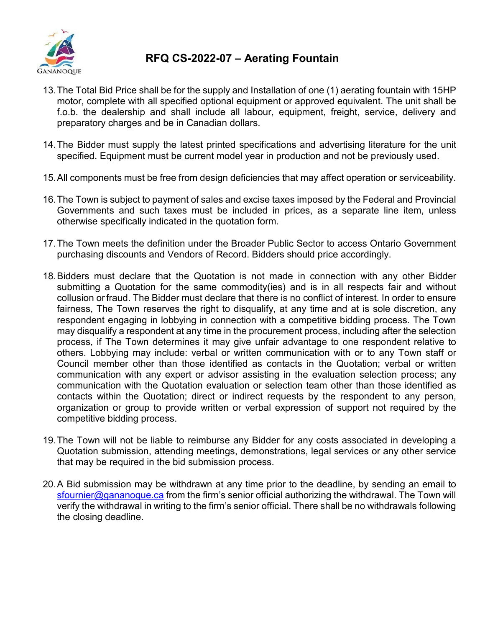

- 13.The Total Bid Price shall be for the supply and Installation of one (1) aerating fountain with 15HP motor, complete with all specified optional equipment or approved equivalent. The unit shall be f.o.b. the dealership and shall include all labour, equipment, freight, service, delivery and preparatory charges and be in Canadian dollars.
- 14.The Bidder must supply the latest printed specifications and advertising literature for the unit specified. Equipment must be current model year in production and not be previously used.
- 15.All components must be free from design deficiencies that may affect operation or serviceability.
- 16.The Town is subject to payment of sales and excise taxes imposed by the Federal and Provincial Governments and such taxes must be included in prices, as a separate line item, unless otherwise specifically indicated in the quotation form.
- 17.The Town meets the definition under the Broader Public Sector to access Ontario Government purchasing discounts and Vendors of Record. Bidders should price accordingly.
- 18.Bidders must declare that the Quotation is not made in connection with any other Bidder submitting a Quotation for the same commodity(ies) and is in all respects fair and without collusion orfraud. The Bidder must declare that there is no conflict of interest. In order to ensure fairness, The Town reserves the right to disqualify, at any time and at is sole discretion, any respondent engaging in lobbying in connection with a competitive bidding process. The Town may disqualify a respondent at any time in the procurement process, including after the selection process, if The Town determines it may give unfair advantage to one respondent relative to others. Lobbying may include: verbal or written communication with or to any Town staff or Council member other than those identified as contacts in the Quotation; verbal or written communication with any expert or advisor assisting in the evaluation selection process; any communication with the Quotation evaluation or selection team other than those identified as contacts within the Quotation; direct or indirect requests by the respondent to any person, organization or group to provide written or verbal expression of support not required by the competitive bidding process.
- 19.The Town will not be liable to reimburse any Bidder for any costs associated in developing a Quotation submission, attending meetings, demonstrations, legal services or any other service that may be required in the bid submission process.
- 20.A Bid submission may be withdrawn at any time prior to the deadline, by sending an email to [sfournier@gananoque.ca](mailto:sfournier@gananoque.ca) from the firm's senior official authorizing the withdrawal. The Town will verify the withdrawal in writing to the firm's senior official. There shall be no withdrawals following the closing deadline.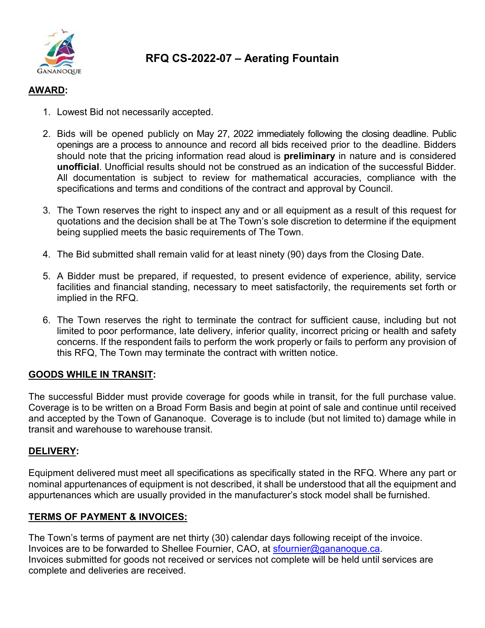

#### **AWARD:**

- 1. Lowest Bid not necessarily accepted.
- 2. Bids will be opened publicly on May 27, 2022 immediately following the closing deadline. Public openings are a process to announce and record all bids received prior to the deadline. Bidders should note that the pricing information read aloud is **preliminary** in nature and is considered **unofficial**. Unofficial results should not be construed as an indication of the successful Bidder. All documentation is subject to review for mathematical accuracies, compliance with the specifications and terms and conditions of the contract and approval by Council.
- 3. The Town reserves the right to inspect any and or all equipment as a result of this request for quotations and the decision shall be at The Town's sole discretion to determine if the equipment being supplied meets the basic requirements of The Town.
- 4. The Bid submitted shall remain valid for at least ninety (90) days from the Closing Date.
- 5. A Bidder must be prepared, if requested, to present evidence of experience, ability, service facilities and financial standing, necessary to meet satisfactorily, the requirements set forth or implied in the RFQ.
- 6. The Town reserves the right to terminate the contract for sufficient cause, including but not limited to poor performance, late delivery, inferior quality, incorrect pricing or health and safety concerns. If the respondent fails to perform the work properly or fails to perform any provision of this RFQ, The Town may terminate the contract with written notice.

#### **GOODS WHILE IN TRANSIT:**

The successful Bidder must provide coverage for goods while in transit, for the full purchase value. Coverage is to be written on a Broad Form Basis and begin at point of sale and continue until received and accepted by the Town of Gananoque. Coverage is to include (but not limited to) damage while in transit and warehouse to warehouse transit.

#### **DELIVERY:**

Equipment delivered must meet all specifications as specifically stated in the RFQ. Where any part or nominal appurtenances of equipment is not described, it shall be understood that all the equipment and appurtenances which are usually provided in the manufacturer's stock model shall be furnished.

#### **TERMS OF PAYMENT & INVOICES:**

The Town's terms of payment are net thirty (30) calendar days following receipt of the invoice. Invoices are to be forwarded to Shellee Fournier, CAO, at [sfournier@gananoque.ca.](mailto:sfournier@gananoque.ca) Invoices submitted for goods not received or services not complete will be held until services are complete and deliveries are received.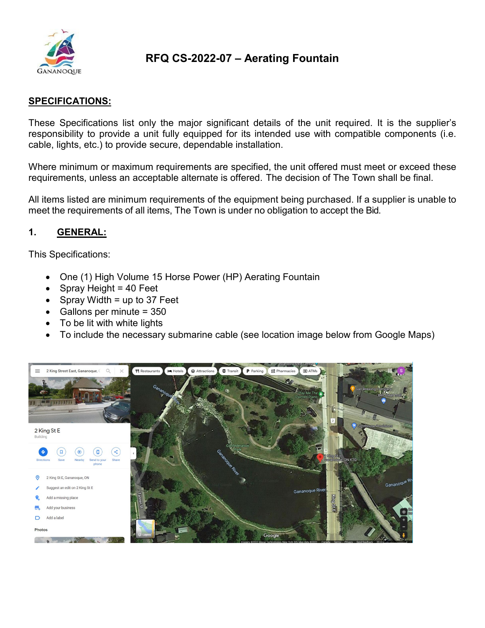

#### **SPECIFICATIONS:**

These Specifications list only the major significant details of the unit required. It is the supplier's responsibility to provide a unit fully equipped for its intended use with compatible components (i.e. cable, lights, etc.) to provide secure, dependable installation.

Where minimum or maximum requirements are specified, the unit offered must meet or exceed these requirements, unless an acceptable alternate is offered. The decision of The Town shall be final.

All items listed are minimum requirements of the equipment being purchased. If a supplier is unable to meet the requirements of all items, The Town is under no obligation to accept the Bid.

#### **1. GENERAL:**

This Specifications:

- One (1) High Volume 15 Horse Power (HP) Aerating Fountain
- Spray Height =  $40$  Feet
- Spray Width = up to 37 Feet
- Gallons per minute = 350
- To be lit with white lights
- To include the necessary submarine cable (see location image below from Google Maps)

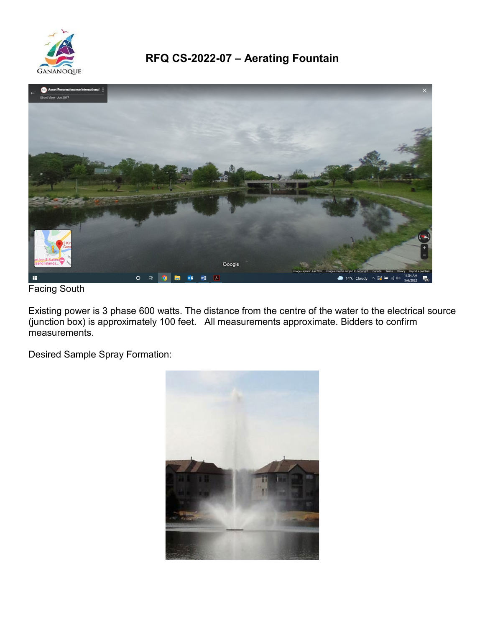



Facing South

Existing power is 3 phase 600 watts. The distance from the centre of the water to the electrical source (junction box) is approximately 100 feet. All measurements approximate. Bidders to confirm measurements.

Desired Sample Spray Formation:

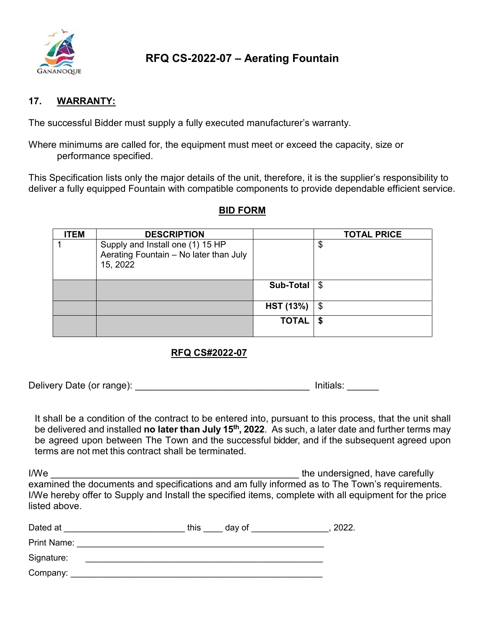

#### **17. WARRANTY:**

The successful Bidder must supply a fully executed manufacturer's warranty.

Where minimums are called for, the equipment must meet or exceed the capacity, size or performance specified.

This Specification lists only the major details of the unit, therefore, it is the supplier's responsibility to deliver a fully equipped Fountain with compatible components to provide dependable efficient service.

#### **BID FORM**

| <b>ITEM</b> | <b>DESCRIPTION</b>                                                                     |                  | <b>TOTAL PRICE</b> |
|-------------|----------------------------------------------------------------------------------------|------------------|--------------------|
|             | Supply and Install one (1) 15 HP<br>Aerating Fountain - No later than July<br>15, 2022 |                  | \$                 |
|             |                                                                                        | <b>Sub-Total</b> | l \$               |
|             |                                                                                        | <b>HST (13%)</b> | \$                 |
|             |                                                                                        | <b>TOTAL</b>     |                    |

#### **RFQ CS#2022-07**

Delivery Date (or range): example and the set of the limitials: which is a limitial of the limitials:  $\sim$ 

It shall be a condition of the contract to be entered into, pursuant to this process, that the unit shall be delivered and installed **no later than July 15th, 2022**. As such, a later date and further terms may be agreed upon between The Town and the successful bidder, and if the subsequent agreed upon terms are not met this contract shall be terminated.

I/We **If the undersigned, have carefully**  $\blacksquare$ examined the documents and specifications and am fully informed as to The Town's requirements. I/We hereby offer to Supply and Install the specified items, complete with all equipment for the price listed above.

| Dated at    | this<br>day of | 2022. |
|-------------|----------------|-------|
| Print Name: |                |       |
| Signature:  |                |       |
| Company:    |                |       |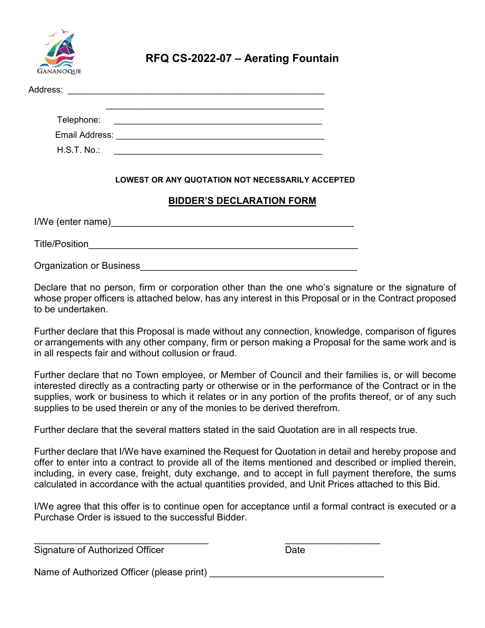

| Address:       | <u> 1980 - Jan Samuel Barbara, margaret e populari e populari e populari e populari e populari e populari e popu</u> |
|----------------|----------------------------------------------------------------------------------------------------------------------|
|                |                                                                                                                      |
| Telephone:     | <u> 1980 - Jan Samuel Barbara, margaret e populazion del control del control del control del control de la provi</u> |
| Email Address: |                                                                                                                      |
| $H.S.T. No.$ : |                                                                                                                      |
|                |                                                                                                                      |

#### **LOWEST OR ANY QUOTATION NOT NECESSARILY ACCEPTED**

#### **BIDDER'S DECLARATION FORM**

| I/We (enter name)        |  |
|--------------------------|--|
| <b>Title/Position</b>    |  |
| Organization or Business |  |

Declare that no person, firm or corporation other than the one who's signature or the signature of whose proper officers is attached below, has any interest in this Proposal or in the Contract proposed to be undertaken.

Further declare that this Proposal is made without any connection, knowledge, comparison of figures or arrangements with any other company, firm or person making a Proposal for the same work and is in all respects fair and without collusion or fraud.

Further declare that no Town employee, or Member of Council and their families is, or will become interested directly as a contracting party or otherwise or in the performance of the Contract or in the supplies, work or business to which it relates or in any portion of the profits thereof, or of any such supplies to be used therein or any of the monies to be derived therefrom.

Further declare that the several matters stated in the said Quotation are in all respects true.

Further declare that I/We have examined the Request for Quotation in detail and hereby propose and offer to enter into a contract to provide all of the items mentioned and described or implied therein, including, in every case, freight, duty exchange, and to accept in full payment therefore, the sums calculated in accordance with the actual quantities provided, and Unit Prices attached to this Bid.

I/We agree that this offer is to continue open for acceptance until a formal contract is executed or a Purchase Order is issued to the successful Bidder.

\_\_\_\_\_\_\_\_\_\_\_\_\_\_\_\_\_\_\_\_\_\_\_\_\_\_\_\_\_\_\_\_\_ \_\_\_\_\_\_\_\_\_\_\_\_\_\_\_\_\_\_ Signature of Authorized Officer **Date** Date

Name of Authorized Officer (please print) \_\_\_\_\_\_\_\_\_\_\_\_\_\_\_\_\_\_\_\_\_\_\_\_\_\_\_\_\_\_\_\_\_